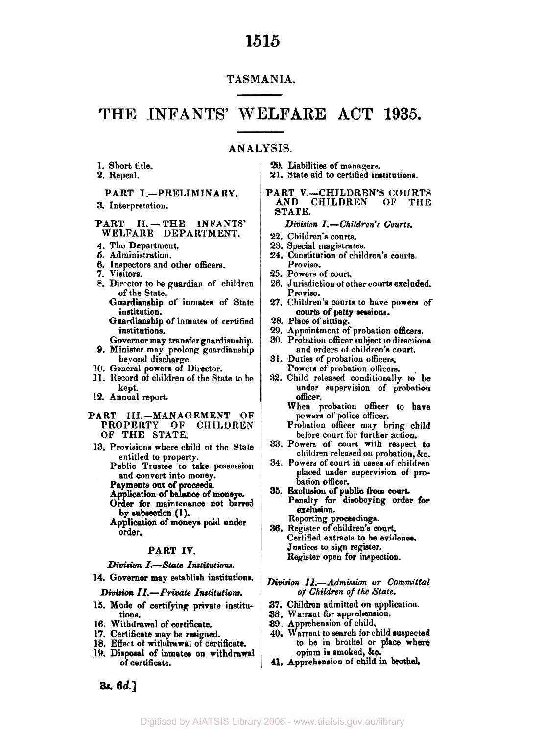#### **TASMANIA.**

### **THE INFANTS' WELFARE ACT 1935.**

#### **AN A LY SIS.**

- **1.** Short title.
- **2.** Repeal.

#### PART **I.--PRELIMINARY.**

**3.** Interpretation.

#### PART II. **-THE INFANTS'** WELFARE DEPARTMENT.

- **4.** The Department.
- *5.* Administration.
- 6. Inspectors and other officers.
- **7.** Visitors.
- 8. Director to **he** guardian of children of the State.
	- Guardianship of inmates of State institution.
	- Guardianship of inmates of certified institutions.
- Governor may transfer guardianship. **9.** Minister may prolong guardianship beyond discharge.
- **10.** General powers of Director.
- **11.** Record **of** children of the State to be kept.
- **12.** Annual report.

#### **PART** 111.-MANAGEMENT OF PROPERTY **OF** CHILDREN OF THE STATE.

13. Provisions where child **of** the State entitled **to** property.

> Public Trustee to take possession and convert into money.

- Payments out of proceeds.
- Order for maintenance not barred Ap lication of ba **P ance** of moneys.
- by subsection **(1).**
- Application of moneys paid under order.

#### PART *IV.*

#### *Division* I.-State *Institutions.*

**14.** Governor may establish institutions.

#### *Division II.-Private Institutions.*

- **15.** Mode of certifying private institutions.
- 16. Withdrawal of certificate.
- **17.** Certificate may be resigned.
- **18.** Effect of withdrawal of certificate.
- **19.** Disposal of inmates **on** withdrawal of certificate.
- *20.* Liabilities of managers.
- **21.** State aid to certified institutions.

#### PART V.-CHILDREN'S COURTS<br>AND CHILDREN OF THE AND CHILDREN STATE.

#### *Division I.-Children's* **Courts.**

- **22.** Children's courts.
- **23.** Special magistrates.
- **24.** Constitution of children's courts. Proviso.
- **25.** Powers of court.
- 26. Jurisdiction **of** other courts excluded. Proviso.
- **27.** Children's courts to have powers of courts of petty sessions.
- **28.** Place of sitting.
- 29. Appointment of probation officers.
- **30.** Probation officer subject **to** directions and orders of children's court.
- **31.** Duties of probation officers. Powers of probation officers.
- **32.** Child released conditionally **to be**  under supervision of probation officer.
	- When probation officer to hare powers of police officer.
	- Probation officer may bring child before court for further action.
- **33.** Powers of court with respect to children released **on** probation, &c.
- **34.** Powers of court in cases **of** children placed under supervision of probation officer.
- Penalty **for** disobeying order for Reporting proceedings. **35.** Exclusion of public from court. erclusinn.
- **36.** Register of children's court. Certified extracts to be evidence. Justices to sign register. Register open for inspection.

#### *Division II-Admission or Committal of Children of the State.*

- *37.* Children admitted on application.
- **38.** Warrant for apprehension.
- 39. A prehension of child.
- 40. Warrant to search for child suspected **to** be in brothel or place where opium is smoked, **&c.**
- **41,** Apprehension of child **in** brothel,

**3s.** *6d.]*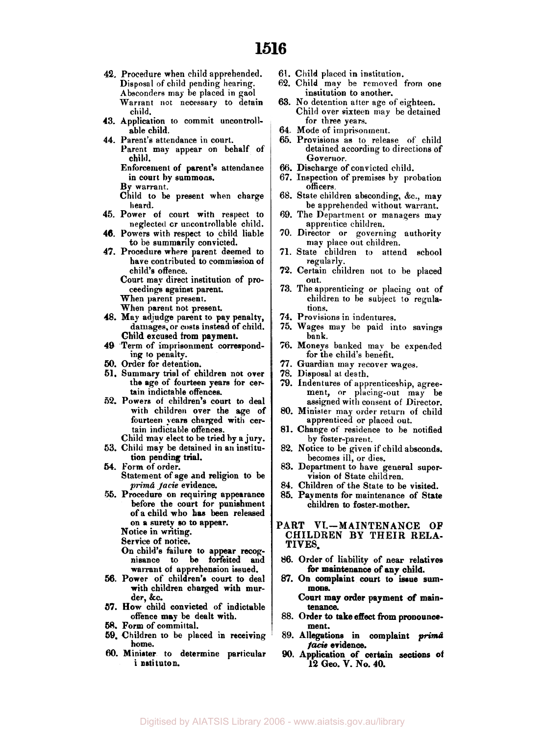- **42.** Procedure when child apprehended. Disposal of child pending hearing. Absconders may be placed in gaol Warrant not necessary to detain child.
- **43.** Application to commit uncontrollable child.
- **44.** Parent's attendance in court. Parent may appear on behalf of child.

Enforcement of parent's attendance in court by summons.

By warrant.

Child to be present when charge heard.

- **45.** Power of court with respect to neglected or uncontrollable child.
- **46.** Powers with respect to child liable to be summarily convicted.
- **47.** Procedure where parent deemed to have contributed to commission of child's offence.

Court may direct institution of proceedings against parent.

When parent present. When parent not present.

- **48.** May adjudge parent to pap penalty, damages, or costs instead of child.
- Child excused from payment. **49** Term of imprisonment correspond-
- ing **to** penalty.
- *50.* Order for detention.
- **51.** Summary trial of children not over the age of fourteen years for certain indictable offences.
- **62.** Powers of children's court **to** deal with children over the **age** of fourteen years charged with certain indictable offences.
- Child may elect to be tried by a jury. **53.** Child may be detained in an institu-
- *54.* Form of order. tion pending trial. Statement of age and religion to be
- *prima facie* evidence. *55.* Procedure on requiring appearance before the court for punishment of a child who has been released on **a** surety *so* to appear.
	- Notice in writing.

Service of notice.

- On child's failure to appear **recog**nisance to be forfeited and warrant of apprehension issued.
- *56.* Power of children's court **to** deal with children charged with murder, &c.
- *57.* **How** child convicted of indictable offence may be dealt with.
- **58. Form** of committal.
- **59.** Children **to** be placed in receiving home.
- **60.** Minister **to** determine particular i nstituton.
- 61. Child placed in institution.
- **62.** Child may be removed from one institution to another.
- 63. No detention after age of eighteen. Child over sixteen may be detained for three years.
- **64.** Mode of imprisonment.
- 65. Provisions as to release of child detained according to directions of Governor.
- *66.* Discharge of convicted child.
- 67. Inspection of premises by probation officers.
- 68. State children absconding, &c., may be apprehended without warrant.
- **69.** The Department or managers may apprentice children.
- **70.** Director or governing authority **may** place out children.
- **71.** State children to attend school regularly.
- **72.** Certain children not to he placed out.
- **73.** Theapprenticing or placing out of children to be subject to regulations.
- **74.** Provisions in indentures.
- 75. Wages may be paid into savings bank.
- **76.** Moneys banked may be expended for the child's benefit.
- *47.* Guardian may recover wages.
- **78.** Disposal at death.
- **79.** Indentures of apprenticeship, agreement, or placing-out may be assigned with consent of Director.
- *80.* Minister may order return of child apprenticed or placed out.
- 81. Change **of'** residence to be notified by foster-parent.
- **82.** Notice to be given if child absconds. becomes ill, or dies.
- 83. Department to have general supervision *of* State children.
- **84.** Children of the State to be visited.
- *85.* Payments for maintenance of State children to foster-mother.

#### PART VI.-MAINTENANCE OF CHILDREN **BY** THEIR RELA-TIVES,

- **86.** Order of liability of near relatives for maintenance of any child.
- **87.** On complaint court to issue **sum**mons.

Court may order payment **of** maintenance.

- 88. Order **to** take effect from pronouncement.
- 89. Allegations in complaint *prima facie* evidence.
- **90.** Application **of** certain sections **of 12** Geo. **V. No. 40.**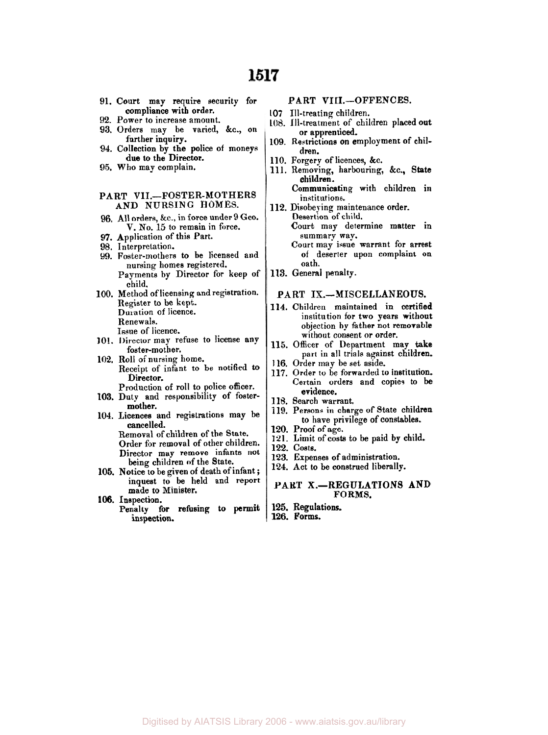| 91. Court may require security for             |              |
|------------------------------------------------|--------------|
| compliance with order.                         | 107          |
| 92. Power to increase amount.                  | 108          |
| 93. Orders may be varied, &c., on              |              |
| further inquiry.                               | 109          |
| 94. Collection by the police of moneys         |              |
| due to the Director.                           | 110          |
| 95. Who may complain.                          | 111          |
|                                                |              |
|                                                |              |
| PART VII.-FOSTER-MOTHERS                       |              |
| AND NURSING HOMES.                             | 112          |
| 96. All orders, &c., in force under 9 Geo.     |              |
| V. No. 15 to remain in force.                  |              |
| 97. Application of this Part.                  |              |
| 98. Interpretation.                            |              |
| Foster-mothers to be licensed and<br>99.       |              |
| nursing homes registered.                      |              |
| Payments by Director for keep of               | 113          |
| child.                                         |              |
| 100. Method of licensing and registration.     |              |
| Register to be kept.                           | Р            |
| Duration of licence.                           | 114          |
|                                                |              |
| Renewals.                                      |              |
| Issue of licence.                              |              |
| 101. Director may refuse to license any        | 11           |
| foster-mother.                                 |              |
| 102. Roll of nursing home.                     | 116          |
| Receipt of infant to be notified to            | 11:          |
| Director.                                      |              |
| Production of roll to police officer.          |              |
| 103. Duty and responsibility of foster-        | 118          |
| mother.                                        | 119          |
| 104. Licences and registrations may be         |              |
| cancelled.                                     | 120          |
| Removal of children of the State.              | 12)          |
| Order for removal of other children.           | 129          |
| Director may remove infants not                | 12:          |
| being children of the State.                   | $12\epsilon$ |
| Notice to be given of death of infant:<br>105. |              |

- **105. Notice to be given of the State.**<br> **105. Notice to be given of death of infant ;** inquest to be held and report made **to** Minister.
- **106.** Inspection. Penalty for refusing to permit
	- **inspection.**

#### PART VIII.-OFFENCES.

- **107** Ill-treating children.
- 1. Ill-treatment of children placed out or apprenticed.
- **109.** Restrictions on employment of children.
- **110.** Forgery of licences, &c.
- **111.** Removing, harbouring, &c., State children.
	- Communicating with children in institutions.
	- 2. Disobeying maintenance order. Desertion of child. Court may determine matter in summary way. Court may issue warrant for arrest of deserter upon complaint on oath.
- **113.** General penalty.

#### PART IX.-MISCELLANEOUS.

- **114.** Children maintained in certified institution for two years without objection by father not removable without consent or order.
- **115.** Officer of Department may **take**  part in all trials against children.
- **116.** Order may be set aside.
- **117.** Order **to** be forwarded to institution. Certain orders and copies **to** be evidence.
- **118.** Search warrant.
- **119.** Persons in charge of State children to have privilege of constables.
- **120.** Proof of age.
- 1. Limit of costs to be paid by child.
- **122.** costs.
- **123.** Expenses of administration.
- **124.** Act to be construed liberally.

#### PART X.-REGULATIONS AND FORMS.

- **125.** Regulations.
- **126. Forms.**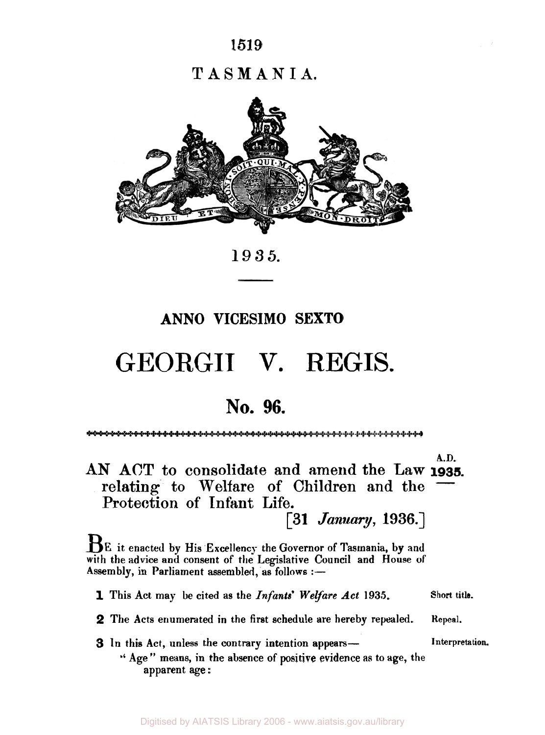# **T ASM AN** I **A.**



**1935.** 

# **ANN0 VICESIMO SEXTO**

# **GEORGII** V. REGIS.

# **No. 96.**

**A.D.**  AN ACT to consolidate and **amend** the Law **1935.**  relating to Welfare of Children and the Protection of **Infant Life.** 

 $\left[31 \text{ January}, 1936. \right]$ 

**BE** it enacted by His Excellency the Governor of Tasmania, by and with the advice and consent **of** the Legislative **Council** and House of Assembly, in Parliament assembled, as follows :-

**1** This Act may be cited **as** the *Infants' Welfare Act* **1935. Short title.** 

- **2** The Acts enumerated in the first schedule are hereby repealed. **Repeal.**
- **3** In this Act, unless the contrary intention appears—
- **Interpreta tion.**
- '' Age" means, in the absence **of** positive evidence **as** to **age,** the apparent **age** :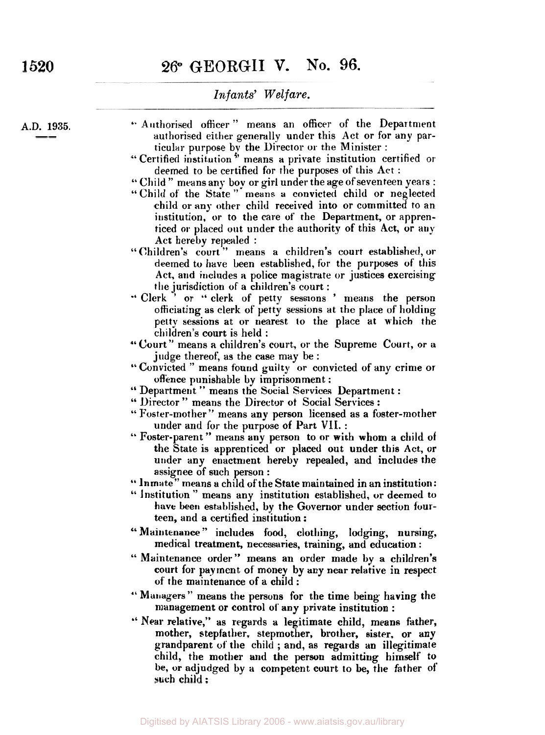**A.D. 1935.**   $\frac{1935}{1}$ 

- " Authorised officer " means an officer of the Department authorised either generally under this Act or for any particular purpose by the Director or the Minister :
- "Certified institution" means a private institution certified or deemed to be certified for the purposes of this Act :
- *"* Child " means any boy or girl under the age of seventeen years :
- "Child of' the State " means a convicted child or neglected child or any other child received into or committed to an institution, or **to** the care of' the Department, or apprenticed **or** placed out under the authority of this Act, or **any**  Act hereby repealed :
- " Children's court " means a children's court established, or deemed to have been established, **for** the purposes **of** this Act, and includes **a** police magistrate or justices exercising
- the jurisdiction of a children's court :<br> **Clerk** ' or " clerk of petty sessions .' Clerk ' or *"* clerk of petty sessions ' **means** the person officiating as clerk of petty sessions at the place of holding petty sessions at or nearest **to** the place at which the children's court is held :
- " Court" means a children's court, or the Supreme Court, or a judge thereof, as the case may be :
- " Convicted " means found guilty **or** convicted of any crime or offence punishable by imprisonment :
- '' Department " means the Social Services Department :
- " Director " means the Director of Social Services :
- " Foster-mother '' means any person licensed as a foster-mother under and for the purpose of Part VII. :
- " Foster-parent " means **any** person to or with whom a child of the State is apprenticed or **placed** out under this Act, or under any enactment hereby repealed, and includes the assignee of such person :
- " lnmate" means a child of the State maintained in an institution:
- " Institution " means any institution established, **or** deemed to have been established, by the Governor under section fourteen, and a certified institution :
- " Maintenance " includes food, clothing, lodging, nursing, medical treatment, necessaries, training, and education :
- " Maintenance order" means an order made by a children's court for payment of money by any near relative in respect of the maintenance of a child :
- " Managers " means the persons for the time being having the management or control **of** any private institution :
- " **Near** relative," as regards a legitimate child, means father, mother, stepfather, stepmother, brother, sister, or any grandparent **of** the child ; and, as regards an illegitimate child, the mother and the person admitting himself *to*  be, or adjudged by a competent court to be, the father **of such** child :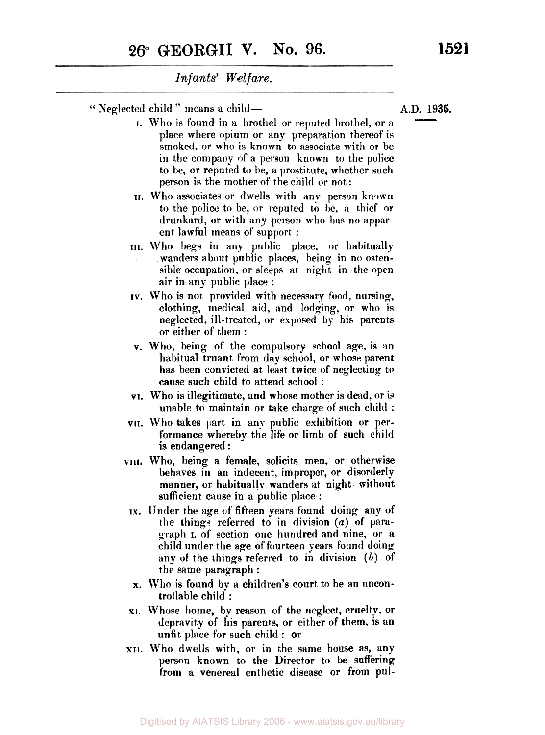" Neglected child " means a child-

- **I.** Who is found in a brothel or reputed brothel, or **a**  place where opium or any preparation thereof is smoked. or who is known to associate with or be in the company of a person known to the police to be, or reputed to be, a prostitute, whether such person is the mother of the child or not:
- **II.** Who associates or dwells with any person known to the police to be, or reputed to be, *a* thief or drunkard, or with any person who has no apparent lawful means of support :
- **III.** Who begs in **any** public place, or habitually wanders about public places, being in no ostensible occupation, or sleeps **at** night in the open air in any public place :
- IV. Who is not provided with necessary food, nursing, clothing, medical aid, and lodging, or who is neglected, ill-treated, or exposed **by** his parents or either of them :
- **v.** Who, being of the compulsory school age, **is** an habitual truant from day school, or whose parent has been convicted at least twice of neglecting **to**  cause such child to attend school :
- **VI.** Who is illegitimate, and whose mother is dead, or *is*  unable to maintain or take charge of such child :
- **VII.** Who takes part in any public exhibition **or** performance whereby the life or limb of such child is endangered :
- **VIII** Who, being a female, solicits men, or otherwise behaves in an indecent, improper, or disorderly manner, or habitually wanders at night without sufficient cause in a public place :
- **IX.** Under the age of fifteen years found doing any of the things referred to in division (a) of **paragraph** I. of section one hundred and nine, or a child under the age of fourteen years found doing any of the things referred to in division *(b)* of the same paragraph :
- **x**. Who is found by a children's court to be an uncontrollable child :
- **xi.** Whose home, by reason of the neglect, cruelty, or depravity of his parents, or either **of** them, is an unfit place for such child : or
- **XII. Who** dwells with, or in the same house as, any person known to the Director to be suffering from a venereal enthetic disease or from **pul-**

 $\frac{1935}{\sqrt{1}}$ **1936.**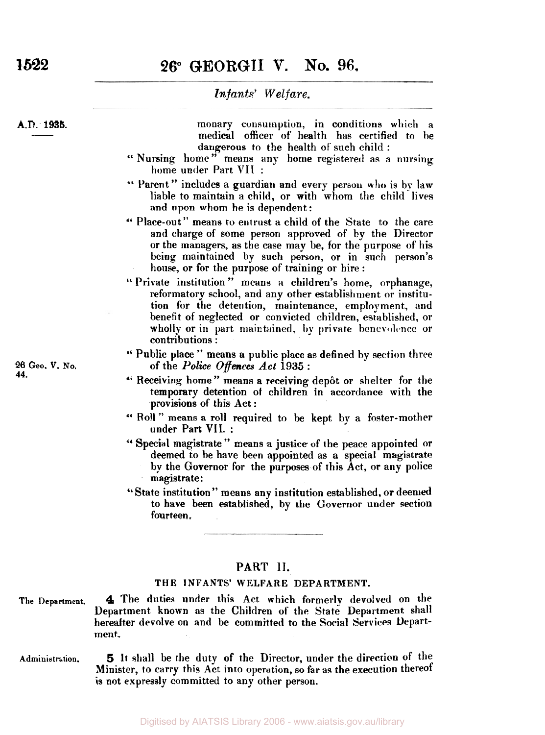# *26°* **GEORGII V. No. 96.**

**1522** 

#### *Infants' Welfare.*

A.D. 1935.

monary consumption, in conditions **which** a medical officer of health has certified to be dangerous to the health of such child :

- " Nursing home" means any home registered as a nursing home under Part **VII** :
- " Parent " includes a guardian and every person **who** is by law liable to maintain a child, or with whom the child lives and upon whom he is dependent:
- " Place-out" means to entrust a child of the State to the care and charge of some person approved of by the Director or the managers, as the case may be, for the purpose of his being maintained by such person, or in such person's house, or for the purpose of training or hire :
- " Private institution " means a children's home, orphanage, reformatory school, and any other establishment or institution for the detention, maintenance, employment, and benefit of neglected or convicted children, established, or wholly or in part maintained, **by** private benevolence or contributions :
- " Public place " means a public place as defined by section three of the Police *Offences* Act **1935** :
- " Receiving home " means a receiving depot or shelter for the temporary detention **of** children in accordance with the provisions of this Act :
- " Roll " means a roll required to be kept by a foster-mother under Part **VII.** :
- '' Special magistrate " means **a** justice of the peace appointed or deemed to be have been appointed as a special magistrate by the Governor for the purposes of this Act, or any police magistrate:
- "State institution " means any institution established, or deemed to have been established, by the Governor under section fourteen.

#### PART II.

#### **THE INFANTS' WELFARE DEPARTMENT.**

- **4** The duties under this Act which formerly devolved on the Department known as the Children **of** the State Department shall hereafter devolve on and be committed to the Social Services Department. **The Department.**
- Administration. **5** It shall be the duty of the Director, under the direction of the Minister, to carry this Act into operation, so far as the execution thereof **is** not expressly committed to any other person.

**26** *Geo.* **V. No. 44.**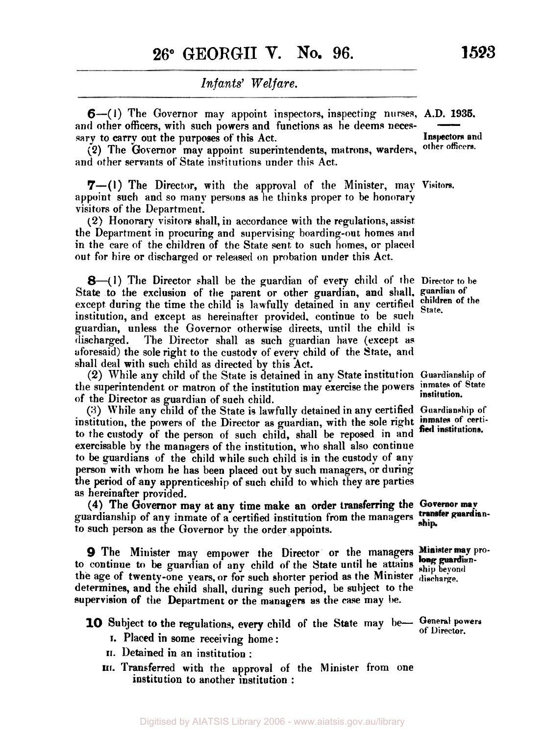*6-(* I) The Governor may appoint inspectors, inspecting nurses, **A.D. 1935.**  and other officers, with such powers and functions as he deems necessary to carry out the purposes of this Act. ). 1935.<br>——<br>pectors and

**(2)** The Governor may appoint superintendents, ma trons, warders, **Other officers.**  and other servants of State institutions under this Act.

**7-(1)** The Director, with the approval of the Minister, may **Visitors.**  appoint such and so many persons as he thinks proper to be honorary visitors of the Department:

**(2)** Honorary visitors shall, in accordance with the regulations, assist the Department in procuring and supervising boarding-out homes and in the care of the children of the State sent to such homes, or placed out for hire or discharged or released on probation under this Act.

**8--(1)** The Director shall be the guardian of every child of the **Director** to **be**  State to the exclusion of the parent or other guardian, and shall. **guardian of**  except during the time the child is lawfully detained in any certified children **State**. institution, and except as hereinafter provided. continue to be such guardian, unless the Governor otherwise directs, until the child is discharged. The Director shall as such guardian have (except **as**  aforesaid) the sole right to the custody of every child of the State, and shall deal with such child as directed by this Act.

**(2)** While any child of the State is detained in any State institution **Guardianslrip of**  the superintendent or matron of the institution may exercise the powers inmates of State of the Director as guardian of such child.

(3) While any child of the State is lawfully detained in any certified **Guardianship** of institution, the powers of the Director as guardian, with the sole right inmates of certiinstitution, the powers of the Director as guarulan, with the sole right fied institutions.<br>to the custody of the person of such child, shall be reposed in and fied institutions. exercisable by the managers of the institution, who shall also continue to be guardians of the child while such child is in the custody of any person with whom he has been placed out by such managers, or during the period of any apprenticeship of such child to which they are parties as hereinafter provided.

guardianship of any inmate of a certified institution from the managers transfer guardian**to** such person **as** the Governor by the order appoints. **(4)** The Governor may at any time make an order transferring the **Governor** 

to continue to be guardian **of** any child of the State until he attains **ship beyond**  the age of twenty-one years, or for such shorter period as the Minister **discharge.**  determines, and the child shall, during such period, be subject to the supervision of the Department or the managers **as** the case may **be. 9** The Minister may empower the Director or the managers Minister may pro-

10 Subject to the regulations, every child of the State may be- General powers

- I. Placed in some receiving home:
- **11.** Detained in an institution :
- **III** Transferred with the approval of the Minister from one institution to another institution :

**Inspectors and** 

children of the

**institution.**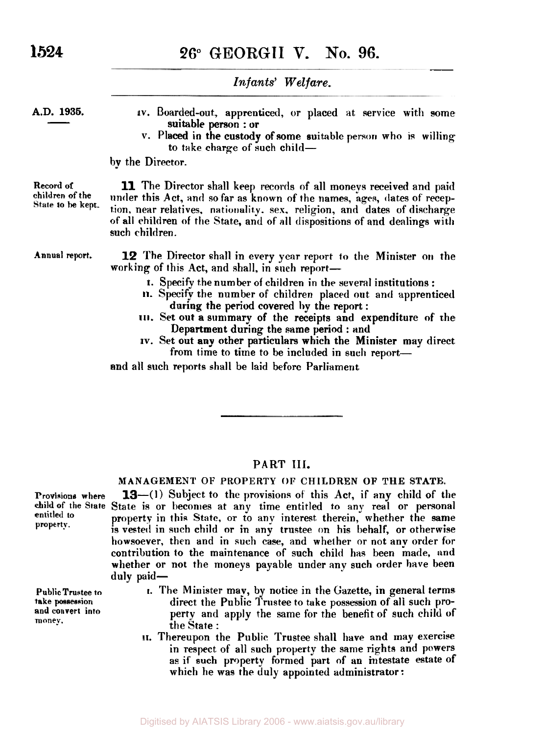**1524 26° GEORGII V. No. 96.** 

*Infants' Welfare.*  **A.D. 1935. IV.** Boarded-out, apprenticed, or placed at service with some v. Placed in the custody of some suitable person who is willing suitable person : or to take charge of such child- $\frac{1935}{\frac{1}{2}}$ by the Director. **11** The Director shall keep records of all moneys received and paid under this Act, and so far as known of the names, ages, dates of reception, near relatives, nationality. sex. religion, and dates of discharge of all children of the State, and **of all** dispositions of and dealings with such children. **Record of children of the State to be kept. Annual report. 12** The Director shall in every year report **to** the Minister **on** the working of this Act, and shall, in such report-**1.**  Specify the number of children in the several institutions : **11.**  Specify the number of children placed out and apprenticecl 111. Set out a summary of the receipts and expenditure of the during the period covered **by** the report : Department during the same period : and

**IV.** Set out any other particulars which the Minister may direct from time to time to be included in such report-

and all such reports shall be laid before Parliament

### **PART III.**

#### **MANAGEMENT OF PROPERTY OF CHILDREN OF THE STATE.**

Provisions where **13--(1)** Subject to the provisions of this Act, if any child of the child of the State State is or becomes at any time entitled to any real or personal property.<br>
property.<br>
is vested in such child or in any trustee on his behalf, or otherwise howsoever, then and in such case, and whether or not any order for contribution to the maintenance of such child has been made, and whether or not the moneys payable under any such order have been duly paid-

- **1.** The Minister map, by notice in the Gazette, in general terms direct the Public Trustee to take possession of all such **pro**and convert into **perty** and apply the same for the benefit of such child of money. the State :
	- 11. Thereupon the Public Trustee shall have and may exercise in respect of all such property the same rights and powers as if such property formed part of **an** intestate estate of which he was the duly appointed administrator:

**Public Trustee to take possession and convert into**